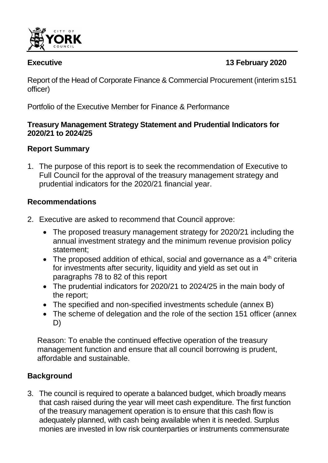

# **Executive 13 February 2020**

Report of the Head of Corporate Finance & Commercial Procurement (interim s151 officer)

 $\ddot{\phantom{a}}$ 

Portfolio of the Executive Member for Finance & Performance

## **Treasury Management Strategy Statement and Prudential Indicators for 2020/21 to 2024/25**

# **Report Summary**

1. The purpose of this report is to seek the recommendation of Executive to Full Council for the approval of the treasury management strategy and prudential indicators for the 2020/21 financial year.

# **Recommendations**

- 2. Executive are asked to recommend that Council approve:
	- The proposed treasury management strategy for 2020/21 including the annual investment strategy and the minimum revenue provision policy statement;
	- The proposed addition of ethical, social and governance as a  $4<sup>th</sup>$  criteria for investments after security, liquidity and yield as set out in paragraphs 78 to 82 of this report
	- The prudential indicators for 2020/21 to 2024/25 in the main body of the report;
	- The specified and non-specified investments schedule (annex B)
	- The scheme of delegation and the role of the section 151 officer (annex D)

Reason: To enable the continued effective operation of the treasury management function and ensure that all council borrowing is prudent, affordable and sustainable.

# **Background**

3. The council is required to operate a balanced budget, which broadly means that cash raised during the year will meet cash expenditure. The first function of the treasury management operation is to ensure that this cash flow is adequately planned, with cash being available when it is needed. Surplus monies are invested in low risk counterparties or instruments commensurate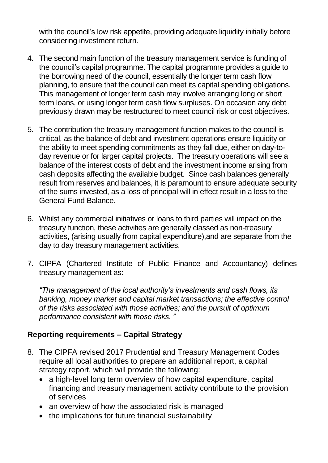with the council's low risk appetite, providing adequate liquidity initially before considering investment return.

- 4. The second main function of the treasury management service is funding of the council's capital programme. The capital programme provides a guide to the borrowing need of the council, essentially the longer term cash flow planning, to ensure that the council can meet its capital spending obligations. This management of longer term cash may involve arranging long or short term loans, or using longer term cash flow surpluses. On occasion any debt previously drawn may be restructured to meet council risk or cost objectives.
- 5. The contribution the treasury management function makes to the council is critical, as the balance of debt and investment operations ensure liquidity or the ability to meet spending commitments as they fall due, either on day-today revenue or for larger capital projects. The treasury operations will see a balance of the interest costs of debt and the investment income arising from cash deposits affecting the available budget. Since cash balances generally result from reserves and balances, it is paramount to ensure adequate security of the sums invested, as a loss of principal will in effect result in a loss to the General Fund Balance.
- 6. Whilst any commercial initiatives or loans to third parties will impact on the treasury function, these activities are generally classed as non-treasury activities, (arising usually from capital expenditure),and are separate from the day to day treasury management activities.
- 7. CIPFA (Chartered Institute of Public Finance and Accountancy) defines treasury management as:

*"The management of the local authority's investments and cash flows, its banking, money market and capital market transactions; the effective control of the risks associated with those activities; and the pursuit of optimum performance consistent with those risks. "*

## **Reporting requirements – Capital Strategy**

- 8. The CIPFA revised 2017 Prudential and Treasury Management Codes require all local authorities to prepare an additional report, a capital strategy report, which will provide the following:
	- a high-level long term overview of how capital expenditure, capital financing and treasury management activity contribute to the provision of services
	- an overview of how the associated risk is managed
	- the implications for future financial sustainability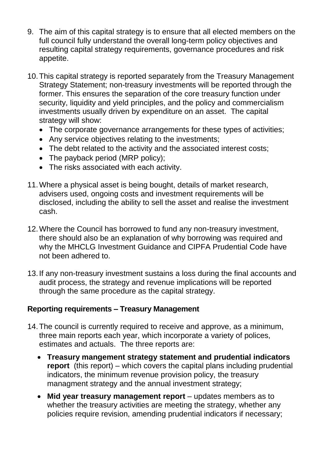- 9. The aim of this capital strategy is to ensure that all elected members on the full council fully understand the overall long-term policy objectives and resulting capital strategy requirements, governance procedures and risk appetite.
- 10.This capital strategy is reported separately from the Treasury Management Strategy Statement; non-treasury investments will be reported through the former. This ensures the separation of the core treasury function under security, liquidity and yield principles, and the policy and commercialism investments usually driven by expenditure on an asset. The capital strategy will show:
	- The corporate governance arrangements for these types of activities;
	- Any service objectives relating to the investments;
	- The debt related to the activity and the associated interest costs;
	- The payback period (MRP policy);
	- The risks associated with each activity.
- 11.Where a physical asset is being bought, details of market research, advisers used, ongoing costs and investment requirements will be disclosed, including the ability to sell the asset and realise the investment cash.
- 12.Where the Council has borrowed to fund any non-treasury investment, there should also be an explanation of why borrowing was required and why the MHCLG Investment Guidance and CIPFA Prudential Code have not been adhered to.
- 13.If any non-treasury investment sustains a loss during the final accounts and audit process, the strategy and revenue implications will be reported through the same procedure as the capital strategy.

# **Reporting requirements – Treasury Management**

- 14.The council is currently required to receive and approve, as a minimum, three main reports each year, which incorporate a variety of polices, estimates and actuals. The three reports are:
	- **Treasury mangement strategy statement and prudential indicators report** (this report) – which covers the capital plans including prudential indicators, the minimum revenue provision policy, the treasury managment strategy and the annual investment strategy;
	- **Mid year treasury management report** updates members as to whether the treasury activities are meeting the strategy, whether any policies require revision, amending prudential indicators if necessary;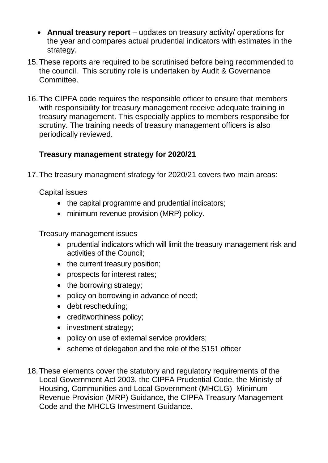- **Annual treasury report** updates on treasury activity/ operations for the year and compares actual prudential indicators with estimates in the strategy.
- 15.These reports are required to be scrutinised before being recommended to the council. This scrutiny role is undertaken by Audit & Governance Committee.
- 16.The CIPFA code requires the responsible officer to ensure that members with responsibility for treasury management receive adequate training in treasury management. This especially applies to members responsibe for scrutiny. The training needs of treasury management officers is also periodically reviewed.

## **Treasury management strategy for 2020/21**

17.The treasury managment strategy for 2020/21 covers two main areas:

Capital issues

- the capital programme and prudential indicators;
- minimum revenue provision (MRP) policy.

Treasury management issues

- prudential indicators which will limit the treasury management risk and activities of the Council;
- the current treasury position;
- prospects for interest rates;
- the borrowing strategy;
- policy on borrowing in advance of need;
- debt rescheduling;
- creditworthiness policy;
- investment strategy;
- policy on use of external service providers;
- scheme of delegation and the role of the S151 officer
- 18.These elements cover the statutory and regulatory requirements of the Local Government Act 2003, the CIPFA Prudential Code, the Ministy of Housing, Communities and Local Government (MHCLG) Minimum Revenue Provision (MRP) Guidance, the CIPFA Treasury Management Code and the MHCLG Investment Guidance.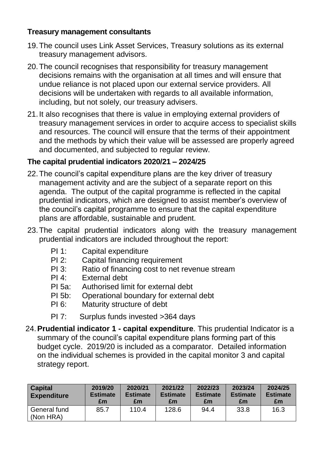## **Treasury management consultants**

- 19.The council uses Link Asset Services, Treasury solutions as its external treasury management advisors.
- 20.The council recognises that responsibility for treasury management decisions remains with the organisation at all times and will ensure that undue reliance is not placed upon our external service providers. All decisions will be undertaken with regards to all available information, including, but not solely, our treasury advisers.
- 21.It also recognises that there is value in employing external providers of treasury management services in order to acquire access to specialist skills and resources. The council will ensure that the terms of their appointment and the methods by which their value will be assessed are properly agreed and documented, and subjected to regular review.

# **The capital prudential indicators 2020/21 – 2024/25**

- 22.The council's capital expenditure plans are the key driver of treasury management activity and are the subject of a separate report on this agenda. The output of the capital programme is reflected in the capital prudential indicators, which are designed to assist member's overview of the council's capital programme to ensure that the capital expenditure plans are affordable, sustainable and prudent.
- 23.The capital prudential indicators along with the treasury management prudential indicators are included throughout the report:
	- PI 1: Capital expenditure
	- PI 2: Capital financing requirement
	- PI 3: Ratio of financing cost to net revenue stream
	- PI 4: External debt
	- PI 5a: Authorised limit for external debt
	- PI 5b: Operational boundary for external debt
	- PI 6: Maturity structure of debt
	- PI 7: Surplus funds invested >364 days
- 24.**Prudential indicator 1 - capital expenditure**. This prudential Indicator is a summary of the council's capital expenditure plans forming part of this budget cycle. 2019/20 is included as a comparator. Detailed information on the individual schemes is provided in the capital monitor 3 and capital strategy report.

| <b>Capital</b><br><b>Expenditure</b> | 2019/20<br><b>Estimate</b><br>£m | 2020/21<br><b>Estimate</b><br>£m | 2021/22<br><b>Estimate</b><br>£m | 2022/23<br><b>Estimate</b><br>£m | 2023/24<br><b>Estimate</b><br>£m | 2024/25<br><b>Estimate</b><br>£m |
|--------------------------------------|----------------------------------|----------------------------------|----------------------------------|----------------------------------|----------------------------------|----------------------------------|
| General fund<br>(Non HRA)            | 85.7                             | 110.4                            | 128.6                            | 94.4                             | 33.8                             | 16.3                             |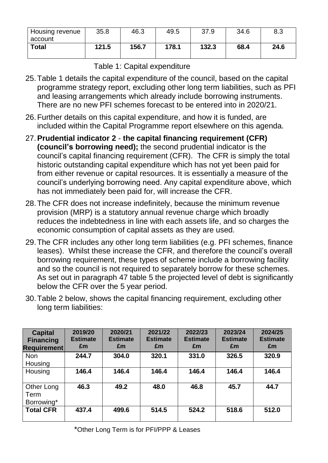| Housing revenue<br>account | 35.8  | 46.3  | 49.5  | 37.9  | 34.6 | 8.3  |
|----------------------------|-------|-------|-------|-------|------|------|
| <b>Total</b>               | 121.5 | 156.7 | 178.1 | 132.3 | 68.4 | 24.6 |

Table 1: Capital expenditure

- 25.Table 1 details the capital expenditure of the council, based on the capital programme strategy report, excluding other long term liabilities, such as PFI and leasing arrangements which already include borrowing instruments. There are no new PFI schemes forecast to be entered into in 2020/21.
- 26.Further details on this capital expenditure, and how it is funded, are included within the Capital Programme report elsewhere on this agenda.
- 27.**Prudential indicator 2 the capital financing requirement (CFR) (council's borrowing need);** the second prudential indicator is the council's capital financing requirement (CFR). The CFR is simply the total historic outstanding capital expenditure which has not yet been paid for from either revenue or capital resources. It is essentially a measure of the council's underlying borrowing need. Any capital expenditure above, which has not immediately been paid for, will increase the CFR.
- 28.The CFR does not increase indefinitely, because the minimum revenue provision (MRP) is a statutory annual revenue charge which broadly reduces the indebtedness in line with each assets life, and so charges the economic consumption of capital assets as they are used.
- 29.The CFR includes any other long term liabilities (e.g. PFI schemes, finance leases). Whilst these increase the CFR, and therefore the council's overall borrowing requirement, these types of scheme include a borrowing facility and so the council is not required to separately borrow for these schemes. As set out in paragraph 47 table 5 the projected level of debt is significantly below the CFR over the 5 year period.
- 30.Table 2 below, shows the capital financing requirement, excluding other long term liabilities:

| <b>Capital</b><br><b>Financing</b><br><b>Requirement</b> | 2019/20<br><b>Estimate</b><br>£m | 2020/21<br><b>Estimate</b><br>£m | 2021/22<br><b>Estimate</b><br>£m | 2022/23<br><b>Estimate</b><br>£m | 2023/24<br><b>Estimate</b><br>£m | 2024/25<br><b>Estimate</b><br>£m |
|----------------------------------------------------------|----------------------------------|----------------------------------|----------------------------------|----------------------------------|----------------------------------|----------------------------------|
| <b>Non</b><br>Housing                                    | 244.7                            | 304.0                            | 320.1                            | 331.0                            | 326.5                            | 320.9                            |
| Housing                                                  | 146.4                            | 146.4                            | 146.4                            | 146.4                            | 146.4                            | 146.4                            |
| Other Long<br>Term<br>Borrowing*                         | 46.3                             | 49.2                             | 48.0                             | 46.8                             | 45.7                             | 44.7                             |
| <b>Total CFR</b>                                         | 437.4                            | 499.6                            | 514.5                            | 524.2                            | 518.6                            | 512.0                            |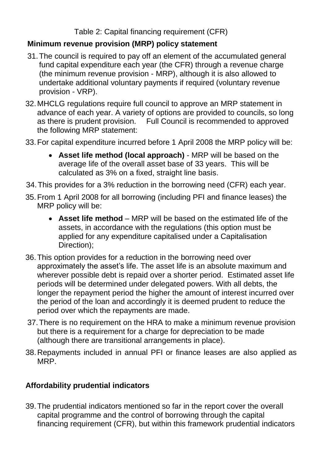Table 2: Capital financing requirement (CFR)

## **Minimum revenue provision (MRP) policy statement**

- 31.The council is required to pay off an element of the accumulated general fund capital expenditure each year (the CFR) through a revenue charge (the minimum revenue provision - MRP), although it is also allowed to undertake additional voluntary payments if required (voluntary revenue provision - VRP).
- 32.MHCLG regulations require full council to approve an MRP statement in advance of each year. A variety of options are provided to councils, so long as there is prudent provision. Full Council is recommended to approved the following MRP statement:
- 33.For capital expenditure incurred before 1 April 2008 the MRP policy will be:
	- **Asset life method (local approach)** MRP will be based on the average life of the overall asset base of 33 years. This will be calculated as 3% on a fixed, straight line basis.
- 34.This provides for a 3% reduction in the borrowing need (CFR) each year.
- 35.From 1 April 2008 for all borrowing (including PFI and finance leases) the MRP policy will be:
	- **Asset life method** MRP will be based on the estimated life of the assets, in accordance with the regulations (this option must be applied for any expenditure capitalised under a Capitalisation Direction);
- 36.This option provides for a reduction in the borrowing need over approximately the asset's life. The asset life is an absolute maximum and wherever possible debt is repaid over a shorter period. Estimated asset life periods will be determined under delegated powers. With all debts, the longer the repayment period the higher the amount of interest incurred over the period of the loan and accordingly it is deemed prudent to reduce the period over which the repayments are made.
- 37.There is no requirement on the HRA to make a minimum revenue provision but there is a requirement for a charge for depreciation to be made (although there are transitional arrangements in place).
- 38.Repayments included in annual PFI or finance leases are also applied as MRP.

# **Affordability prudential indicators**

39.The prudential indicators mentioned so far in the report cover the overall capital programme and the control of borrowing through the capital financing requirement (CFR), but within this framework prudential indicators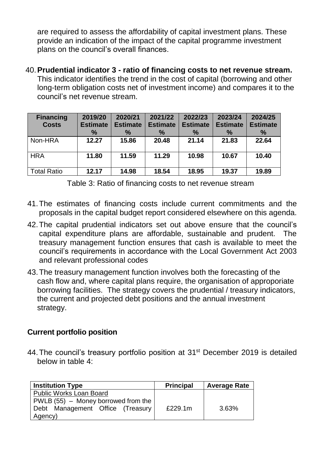are required to assess the affordability of capital investment plans. These provide an indication of the impact of the capital programme investment plans on the council's overall finances.

40.**Prudential indicator 3 - ratio of financing costs to net revenue stream.**  This indicator identifies the trend in the cost of capital (borrowing and other long-term obligation costs net of investment income) and compares it to the council's net revenue stream.

| <b>Financing</b><br><b>Costs</b> | 2019/20<br><b>Estimate</b><br>$\%$ | 2020/21<br><b>Estimate</b><br>$\%$ | 2021/22<br><b>Estimate</b><br>$\%$ | 2022/23<br><b>Estimate</b><br>$\%$ | 2023/24<br><b>Estimate</b><br>$\%$ | 2024/25<br><b>Estimate</b><br>$\%$ |
|----------------------------------|------------------------------------|------------------------------------|------------------------------------|------------------------------------|------------------------------------|------------------------------------|
| Non-HRA                          | 12.27                              | 15.86                              | 20.48                              | 21.14                              | 21.83                              | 22.64                              |
| <b>HRA</b>                       | 11.80                              | 11.59                              | 11.29                              | 10.98                              | 10.67                              | 10.40                              |
| <b>Total Ratio</b>               | 12.17                              | 14.98                              | 18.54                              | 18.95                              | 19.37                              | 19.89                              |

Table 3: Ratio of financing costs to net revenue stream

- 41.The estimates of financing costs include current commitments and the proposals in the capital budget report considered elsewhere on this agenda.
- 42.The capital prudential indicators set out above ensure that the council's capital expenditure plans are affordable, sustainable and prudent. The treasury management function ensures that cash is available to meet the council's requirements in accordance with the Local Government Act 2003 and relevant professional codes
- 43.The treasury management function involves both the forecasting of the cash flow and, where capital plans require, the organisation of approporiate borrowing facilities. The strategy covers the prudential / treasury indicators, the current and projected debt positions and the annual investment strategy.

## **Current portfolio position**

44. The council's treasury portfolio position at 31<sup>st</sup> December 2019 is detailed below in table 4:

| <b>Institution Type</b>              | <b>Principal</b> | <b>Average Rate</b> |
|--------------------------------------|------------------|---------------------|
| <b>Public Works Loan Board</b>       |                  |                     |
| $PWLB(55)$ – Money borrowed from the |                  |                     |
| Debt Management Office (Treasury     | £229.1m          | 3.63%               |
| Agency)                              |                  |                     |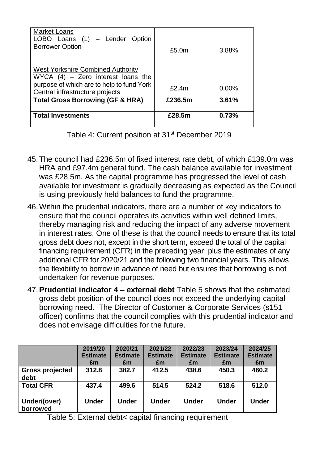| <b>Market Loans</b><br>LOBO Loans (1) - Lender Option                            |                   |       |
|----------------------------------------------------------------------------------|-------------------|-------|
| <b>Borrower Option</b>                                                           | £5.0 <sub>m</sub> | 3.88% |
| <b>West Yorkshire Combined Authority</b><br>WYCA $(4)$ – Zero interest loans the |                   |       |
| purpose of which are to help to fund York<br>Central infrastructure projects     | £2.4m             | 0.00% |
| <b>Total Gross Borrowing (GF &amp; HRA)</b>                                      | £236.5m           | 3.61% |
| <b>Total Investments</b>                                                         | £28.5m            | 0.73% |

Table 4: Current position at 31<sup>st</sup> December 2019

- 45.The council had £236.5m of fixed interest rate debt, of which £139.0m was HRA and £97.4m general fund. The cash balance available for investment was £28.5m. As the capital programme has progressed the level of cash available for investment is gradually decreasing as expected as the Council is using previously held balances to fund the programme.
- 46.Within the prudential indicators, there are a number of key indicators to ensure that the council operates its activities within well defined limits, thereby managing risk and reducing the impact of any adverse movement in interest rates. One of these is that the council needs to ensure that its total gross debt does not, except in the short term, exceed the total of the capital financing requirement (CFR) in the preceding year plus the estimates of any additional CFR for 2020/21 and the following two financial years. This allows the flexibility to borrow in advance of need but ensures that borrowing is not undertaken for revenue purposes.
- 47.**Prudential indicator 4 – external debt** Table 5 shows that the estimated gross debt position of the council does not exceed the underlying capital borrowing need. The Director of Customer & Corporate Services (s151 officer) confirms that the council complies with this prudential indicator and does not envisage difficulties for the future.

|                                | 2019/20<br><b>Estimate</b><br>£m | 2020/21<br><b>Estimate</b><br>£m | 2021/22<br><b>Estimate</b><br>£m | 2022/23<br><b>Estimate</b><br>£m | 2023/24<br><b>Estimate</b><br>£m | 2024/25<br><b>Estimate</b><br>£m |
|--------------------------------|----------------------------------|----------------------------------|----------------------------------|----------------------------------|----------------------------------|----------------------------------|
| <b>Gross projected</b><br>debt | 312.8                            | 382.7                            | 412.5                            | 438.6                            | 450.3                            | 460.2                            |
| <b>Total CFR</b>               | 437.4                            | 499.6                            | 514.5                            | 524.2                            | 518.6                            | 512.0                            |
| Under/(over)<br>borrowed       | <b>Under</b>                     | <b>Under</b>                     | <b>Under</b>                     | <b>Under</b>                     | <b>Under</b>                     | <b>Under</b>                     |

Table 5: External debt< capital financing requirement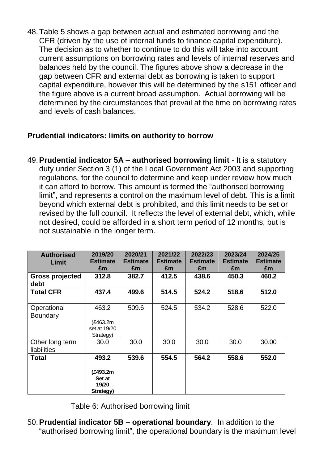48.Table 5 shows a gap between actual and estimated borrowing and the CFR (driven by the use of internal funds to finance capital expenditure). The decision as to whether to continue to do this will take into account current assumptions on borrowing rates and levels of internal reserves and balances held by the council. The figures above show a decrease in the gap between CFR and external debt as borrowing is taken to support capital expenditure, however this will be determined by the s151 officer and the figure above is a current broad assumption. Actual borrowing will be determined by the circumstances that prevail at the time on borrowing rates and levels of cash balances.

## **Prudential indicators: limits on authority to borrow**

49.**Prudential indicator 5A – authorised borrowing limit** - It is a statutory duty under Section 3 (1) of the Local Government Act 2003 and supporting regulations, for the council to determine and keep under review how much it can afford to borrow. This amount is termed the "authorised borrowing limit", and represents a control on the maximum level of debt. This is a limit beyond which external debt is prohibited, and this limit needs to be set or revised by the full council. It reflects the level of external debt, which, while not desired, could be afforded in a short term period of 12 months, but is not sustainable in the longer term.

| <b>Authorised</b><br>Limit     | 2019/20<br><b>Estimate</b><br>£m                  | 2020/21<br><b>Estimate</b><br>£m | 2021/22<br><b>Estimate</b><br>£m | 2022/23<br><b>Estimate</b><br>£m | 2023/24<br><b>Estimate</b><br>£m | 2024/25<br><b>Estimate</b><br>£m |
|--------------------------------|---------------------------------------------------|----------------------------------|----------------------------------|----------------------------------|----------------------------------|----------------------------------|
| <b>Gross projected</b><br>debt | 312.8                                             | 382.7                            | 412.5                            | 438.6                            | 450.3                            | 460.2                            |
| <b>Total CFR</b>               | 437.4                                             | 499.6                            | 514.5                            | 524.2                            | 518.6                            | 512.0                            |
| Operational<br><b>Boundary</b> | 463.2<br>(£463.2m<br>set at 19/20<br>Strategy)    | 509.6                            | 524.5                            | 534.2                            | 528.6                            | 522.0                            |
| Other long term<br>liabilities | 30.0                                              | 30.0                             | 30.0                             | 30.0                             | 30.0                             | 30.00                            |
| <b>Total</b>                   | 493.2<br>(£493.2m<br>Set at<br>19/20<br>Strategy) | 539.6                            | 554.5                            | 564.2                            | 558.6                            | 552.0                            |

Table 6: Authorised borrowing limit

50.**Prudential indicator 5B – operational boundary**. In addition to the "authorised borrowing limit", the operational boundary is the maximum level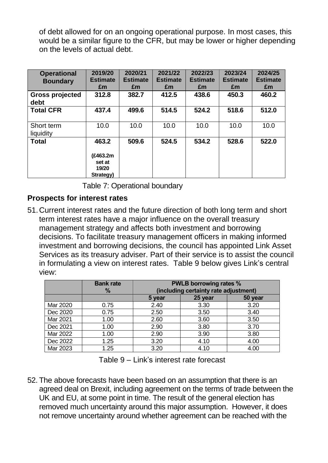of debt allowed for on an ongoing operational purpose. In most cases, this would be a similar figure to the CFR, but may be lower or higher depending on the levels of actual debt.

| <b>Operational</b><br><b>Boundary</b> | 2019/20<br><b>Estimate</b><br>£m                  | 2020/21<br><b>Estimate</b><br>£m | 2021/22<br><b>Estimate</b><br>£m | 2022/23<br><b>Estimate</b><br>£m | 2023/24<br><b>Estimate</b><br>£m | 2024/25<br><b>Estimate</b><br>£m |
|---------------------------------------|---------------------------------------------------|----------------------------------|----------------------------------|----------------------------------|----------------------------------|----------------------------------|
| <b>Gross projected</b><br>debt        | 312.8                                             | 382.7                            | 412.5                            | 438.6                            | 450.3                            | 460.2                            |
| <b>Total CFR</b>                      | 437.4                                             | 499.6                            | 514.5                            | 524.2                            | 518.6                            | 512.0                            |
| Short term<br>liquidity               | 10.0                                              | 10.0                             | 10.0                             | 10.0                             | 10.0                             | 10.0                             |
| <b>Total</b>                          | 463.2<br>(£463.2m<br>set at<br>19/20<br>Strategy) | 509.6                            | 524.5                            | 534.2                            | 528.6                            | 522.0                            |

Table 7: Operational boundary

## **Prospects for interest rates**

51.Current interest rates and the future direction of both long term and short term interest rates have a major influence on the overall treasury management strategy and affects both investment and borrowing decisions. To facilitate treasury management officers in making informed investment and borrowing decisions, the council has appointed Link Asset Services as its treasury adviser. Part of their service is to assist the council in formulating a view on interest rates. Table 9 below gives Link's central view:

|          | <b>Bank rate</b><br>$\%$ | <b>PWLB borrowing rates %</b><br>(including certainty rate adjustment) |         |         |  |  |
|----------|--------------------------|------------------------------------------------------------------------|---------|---------|--|--|
|          |                          | 5 year                                                                 | 25 year | 50 year |  |  |
| Mar 2020 | 0.75                     | 2.40                                                                   | 3.30    | 3.20    |  |  |
| Dec 2020 | 0.75                     | 2.50                                                                   | 3.50    | 3.40    |  |  |
| Mar 2021 | 1.00                     | 2.60                                                                   | 3.60    | 3.50    |  |  |
| Dec 2021 | 1.00                     | 2.90                                                                   | 3.80    | 3.70    |  |  |
| Mar 2022 | 1.00                     | 2.90                                                                   | 3.90    | 3.80    |  |  |
| Dec 2022 | 1.25                     | 3.20                                                                   | 4.10    | 4.00    |  |  |
| Mar 2023 | 1.25                     | 3.20                                                                   | 4.10    | 4.00    |  |  |

52. The above forecasts have been based on an assumption that there is an agreed deal on Brexit, including agreement on the terms of trade between the UK and EU, at some point in time. The result of the general election has removed much uncertainty around this major assumption. However, it does not remove uncertainty around whether agreement can be reached with the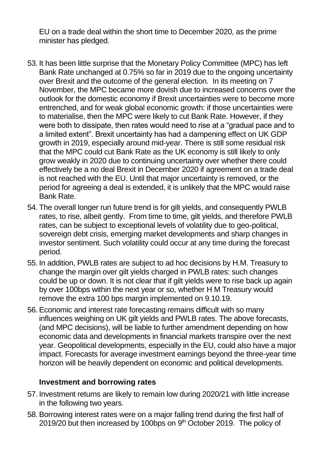EU on a trade deal within the short time to December 2020, as the prime minister has pledged.

- 53. It has been little surprise that the Monetary Policy Committee (MPC) has left Bank Rate unchanged at 0.75% so far in 2019 due to the ongoing uncertainty over Brexit and the outcome of the general election. In its meeting on 7 November, the MPC became more dovish due to increased concerns over the outlook for the domestic economy if Brexit uncertainties were to become more entrenched, and for weak global economic growth: if those uncertainties were to materialise, then the MPC were likely to cut Bank Rate. However, if they were both to dissipate, then rates would need to rise at a "gradual pace and to a limited extent". Brexit uncertainty has had a dampening effect on UK GDP growth in 2019, especially around mid-year. There is still some residual risk that the MPC could cut Bank Rate as the UK economy is still likely to only grow weakly in 2020 due to continuing uncertainty over whether there could effectively be a no deal Brexit in December 2020 if agreement on a trade deal is not reached with the EU. Until that major uncertainty is removed, or the period for agreeing a deal is extended, it is unlikely that the MPC would raise Bank Rate.
- 54. The overall longer run future trend is for gilt yields, and consequently PWLB rates, to rise, albeit gently. From time to time, gilt yields, and therefore PWLB rates, can be subject to exceptional levels of volatility due to geo-political, sovereign debt crisis, emerging market developments and sharp changes in investor sentiment. Such volatility could occur at any time during the forecast period.
- 55. In addition, PWLB rates are subject to ad hoc decisions by H.M. Treasury to change the margin over gilt yields charged in PWLB rates: such changes could be up or down. It is not clear that if gilt yields were to rise back up again by over 100bps within the next year or so, whether H M Treasury would remove the extra 100 bps margin implemented on 9.10.19.
- 56. Economic and interest rate forecasting remains difficult with so many influences weighing on UK gilt yields and PWLB rates. The above forecasts, (and MPC decisions), will be liable to further amendment depending on how economic data and developments in financial markets transpire over the next year. Geopolitical developments, especially in the EU, could also have a major impact. Forecasts for average investment earnings beyond the three-year time horizon will be heavily dependent on economic and political developments.

#### **Investment and borrowing rates**

- 57. Investment returns are likely to remain low during 2020/21 with little increase in the following two years.
- 58. Borrowing interest rates were on a major falling trend during the first half of 2019/20 but then increased by 100bps on  $9<sup>th</sup>$  October 2019. The policy of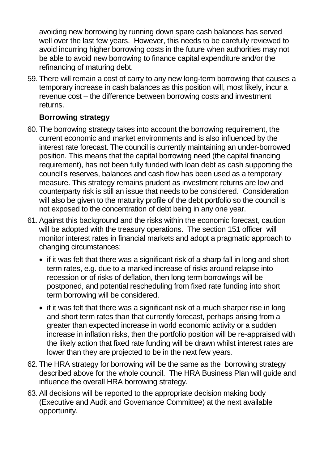avoiding new borrowing by running down spare cash balances has served well over the last few years. However, this needs to be carefully reviewed to avoid incurring higher borrowing costs in the future when authorities may not be able to avoid new borrowing to finance capital expenditure and/or the refinancing of maturing debt.

59. There will remain a cost of carry to any new long-term borrowing that causes a temporary increase in cash balances as this position will, most likely, incur a revenue cost – the difference between borrowing costs and investment returns.

## **Borrowing strategy**

- 60. The borrowing strategy takes into account the borrowing requirement, the current economic and market environments and is also influenced by the interest rate forecast. The council is currently maintaining an under-borrowed position. This means that the capital borrowing need (the capital financing requirement), has not been fully funded with loan debt as cash supporting the council's reserves, balances and cash flow has been used as a temporary measure. This strategy remains prudent as investment returns are low and counterparty risk is still an issue that needs to be considered. Consideration will also be given to the maturity profile of the debt portfolio so the council is not exposed to the concentration of debt being in any one year.
- 61.Against this background and the risks within the economic forecast, caution will be adopted with the treasury operations. The section 151 officer will monitor interest rates in financial markets and adopt a pragmatic approach to changing circumstances:
	- if it was felt that there was a significant risk of a sharp fall in long and short term rates, e.g. due to a marked increase of risks around relapse into recession or of risks of deflation, then long term borrowings will be postponed, and potential rescheduling from fixed rate funding into short term borrowing will be considered.
	- if it was felt that there was a significant risk of a much sharper rise in long and short term rates than that currently forecast, perhaps arising from a greater than expected increase in world economic activity or a sudden increase in inflation risks, then the portfolio position will be re-appraised with the likely action that fixed rate funding will be drawn whilst interest rates are lower than they are projected to be in the next few years.
- 62. The HRA strategy for borrowing will be the same as the borrowing strategy described above for the whole council. The HRA Business Plan will guide and influence the overall HRA borrowing strategy.
- 63. All decisions will be reported to the appropriate decision making body (Executive and Audit and Governance Committee) at the next available opportunity.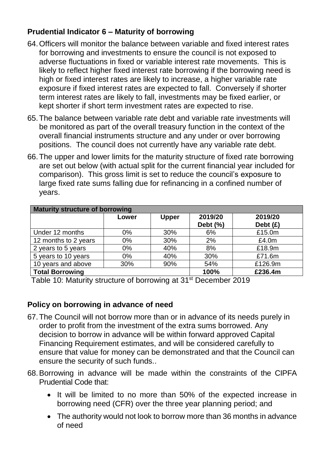# **Prudential Indicator 6 – Maturity of borrowing**

- 64.Officers will monitor the balance between variable and fixed interest rates for borrowing and investments to ensure the council is not exposed to adverse fluctuations in fixed or variable interest rate movements. This is likely to reflect higher fixed interest rate borrowing if the borrowing need is high or fixed interest rates are likely to increase, a higher variable rate exposure if fixed interest rates are expected to fall. Conversely if shorter term interest rates are likely to fall, investments may be fixed earlier, or kept shorter if short term investment rates are expected to rise.
- 65.The balance between variable rate debt and variable rate investments will be monitored as part of the overall treasury function in the context of the overall financial instruments structure and any under or over borrowing positions. The council does not currently have any variable rate debt.
- 66.The upper and lower limits for the maturity structure of fixed rate borrowing are set out below (with actual split for the current financial year included for comparison). This gross limit is set to reduce the council's exposure to large fixed rate sums falling due for refinancing in a confined number of years.

| <b>Maturity structure of borrowing</b> |       |              |             |            |  |  |  |
|----------------------------------------|-------|--------------|-------------|------------|--|--|--|
|                                        | Lower | <b>Upper</b> | 2019/20     | 2019/20    |  |  |  |
|                                        |       |              | Debt $(\%)$ | Debt $(f)$ |  |  |  |
| Under 12 months                        | $0\%$ | 30%          | 6%          | £15.0m     |  |  |  |
| 12 months to 2 years                   | $0\%$ | 30%          | 2%          | £4.0m      |  |  |  |
| 2 years to 5 years                     | $0\%$ | 40%          | 8%          | £18.9m     |  |  |  |
| 5 years to 10 years                    | 0%    | 40%          | 30%         | £71.6m     |  |  |  |
| 10 years and above                     | 30%   | 90%          | 54%         | £126.9m    |  |  |  |
| <b>Total Borrowing</b>                 |       | 100%         | £236.4m     |            |  |  |  |

Table 10: Maturity structure of borrowing at 31<sup>st</sup> December 2019

## **Policy on borrowing in advance of need**

- 67.The Council will not borrow more than or in advance of its needs purely in order to profit from the investment of the extra sums borrowed. Any decision to borrow in advance will be within forward approved Capital Financing Requirement estimates, and will be considered carefully to ensure that value for money can be demonstrated and that the Council can ensure the security of such funds..
- 68.Borrowing in advance will be made within the constraints of the CIPFA Prudential Code that:
	- It will be limited to no more than 50% of the expected increase in borrowing need (CFR) over the three year planning period; and
	- The authority would not look to borrow more than 36 months in advance of need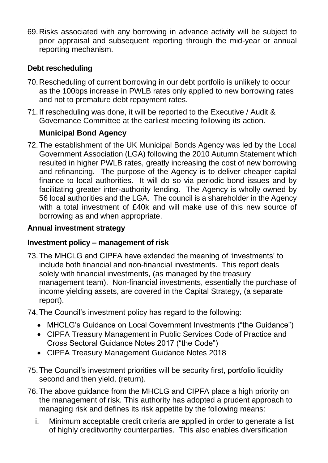69.Risks associated with any borrowing in advance activity will be subject to prior appraisal and subsequent reporting through the mid-year or annual reporting mechanism.

# **Debt rescheduling**

- 70.Rescheduling of current borrowing in our debt portfolio is unlikely to occur as the 100bps increase in PWLB rates only applied to new borrowing rates and not to premature debt repayment rates.
- 71.If rescheduling was done, it will be reported to the Executive / Audit & Governance Committee at the earliest meeting following its action.

## **Municipal Bond Agency**

72.The establishment of the UK Municipal Bonds Agency was led by the Local Government Association (LGA) following the 2010 Autumn Statement which resulted in higher PWLB rates, greatly increasing the cost of new borrowing and refinancing. The purpose of the Agency is to deliver cheaper capital finance to local authorities. It will do so via periodic bond issues and by facilitating greater inter-authority lending. The Agency is wholly owned by 56 local authorities and the LGA. The council is a shareholder in the Agency with a total investment of £40k and will make use of this new source of borrowing as and when appropriate.

#### **Annual investment strategy**

#### **Investment policy – management of risk**

- 73.The MHCLG and CIPFA have extended the meaning of 'investments' to include both financial and non-financial investments. This report deals solely with financial investments, (as managed by the treasury management team). Non-financial investments, essentially the purchase of income yielding assets, are covered in the Capital Strategy, (a separate report).
- 74.The Council's investment policy has regard to the following:
	- MHCLG's Guidance on Local Government Investments ("the Guidance")
	- CIPFA Treasury Management in Public Services Code of Practice and Cross Sectoral Guidance Notes 2017 ("the Code")
	- CIPFA Treasury Management Guidance Notes 2018
- 75.The Council's investment priorities will be security first, portfolio liquidity second and then yield, (return).
- 76.The above guidance from the MHCLG and CIPFA place a high priority on the management of risk. This authority has adopted a prudent approach to managing risk and defines its risk appetite by the following means:
	- i. Minimum acceptable credit criteria are applied in order to generate a list of highly creditworthy counterparties. This also enables diversification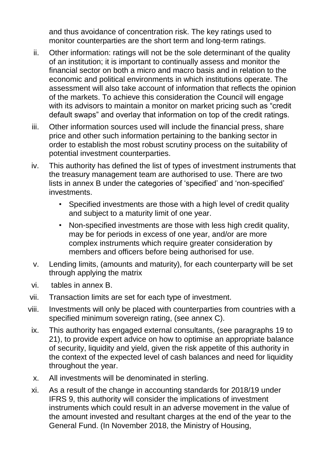and thus avoidance of concentration risk. The key ratings used to monitor counterparties are the short term and long-term ratings.

- ii. Other information: ratings will not be the sole determinant of the quality of an institution; it is important to continually assess and monitor the financial sector on both a micro and macro basis and in relation to the economic and political environments in which institutions operate. The assessment will also take account of information that reflects the opinion of the markets. To achieve this consideration the Council will engage with its advisors to maintain a monitor on market pricing such as "credit default swaps" and overlay that information on top of the credit ratings.
- iii. Other information sources used will include the financial press, share price and other such information pertaining to the banking sector in order to establish the most robust scrutiny process on the suitability of potential investment counterparties.
- iv. This authority has defined the list of types of investment instruments that the treasury management team are authorised to use. There are two lists in annex B under the categories of 'specified' and 'non-specified' investments.
	- Specified investments are those with a high level of credit quality and subject to a maturity limit of one year.
	- Non-specified investments are those with less high credit quality, may be for periods in excess of one year, and/or are more complex instruments which require greater consideration by members and officers before being authorised for use.
- v. Lending limits, (amounts and maturity), for each counterparty will be set through applying the matrix
- vi. tables in annex B.
- vii. Transaction limits are set for each type of investment.
- viii. Investments will only be placed with counterparties from countries with a specified minimum sovereign rating, (see annex C).
- ix. This authority has engaged external consultants, (see paragraphs 19 to 21), to provide expert advice on how to optimise an appropriate balance of security, liquidity and yield, given the risk appetite of this authority in the context of the expected level of cash balances and need for liquidity throughout the year.
- x. All investments will be denominated in sterling.
- xi. As a result of the change in accounting standards for 2018/19 under IFRS 9, this authority will consider the implications of investment instruments which could result in an adverse movement in the value of the amount invested and resultant charges at the end of the year to the General Fund. (In November 2018, the Ministry of Housing,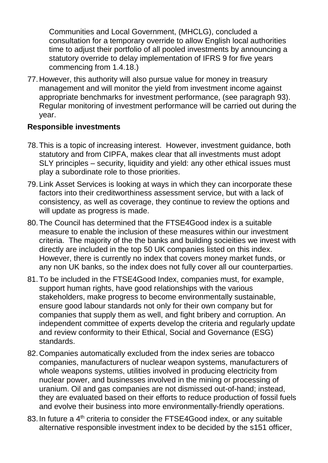Communities and Local Government, (MHCLG), concluded a consultation for a temporary override to allow English local authorities time to adjust their portfolio of all pooled investments by announcing a statutory override to delay implementation of IFRS 9 for five years commencing from 1.4.18.)

77.However, this authority will also pursue value for money in treasury management and will monitor the yield from investment income against appropriate benchmarks for investment performance, (see paragraph 93). Regular monitoring of investment performance will be carried out during the year.

## **Responsible investments**

- 78.This is a topic of increasing interest. However, investment guidance, both statutory and from CIPFA, makes clear that all investments must adopt SLY principles – security, liquidity and yield: any other ethical issues must play a subordinate role to those priorities.
- 79.Link Asset Services is looking at ways in which they can incorporate these factors into their creditworthiness assessment service, but with a lack of consistency, as well as coverage, they continue to review the options and will update as progress is made.
- 80.The Council has determined that the FTSE4Good index is a suitable measure to enable the inclusion of these measures within our investment criteria. The majority of the the banks and building socieities we invest with directly are included in the top 50 UK companies listed on this index. However, there is currently no index that covers money market funds, or any non UK banks, so the index does not fully cover all our counterparties.
- 81.To be included in the FTSE4Good Index, companies must, for example, support human rights, have good relationships with the various stakeholders, make progress to become environmentally sustainable, ensure good labour standards not only for their own company but for companies that supply them as well, and fight bribery and corruption. An independent committee of experts develop the criteria and regularly update and review conformity to their Ethical, Social and Governance (ESG) standards.
- 82.Companies automatically excluded from the index series are tobacco companies, manufacturers of nuclear weapon systems, manufacturers of whole weapons systems, utilities involved in producing electricity from nuclear power, and businesses involved in the mining or processing of uranium. Oil and gas companies are not dismissed out-of-hand; instead, they are evaluated based on their efforts to reduce production of fossil fuels and evolve their business into more environmentally-friendly operations.
- 83. In future a 4<sup>th</sup> criteria to consider the FTSE4Good index, or any suitable alternative responsible investment index to be decided by the s151 officer,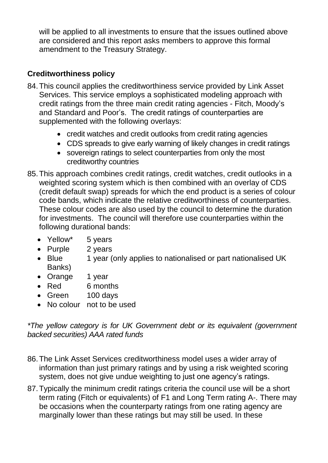will be applied to all investments to ensure that the issues outlined above are considered and this report asks members to approve this formal amendment to the Treasury Strategy.

# **Creditworthiness policy**

- 84.This council applies the creditworthiness service provided by Link Asset Services. This service employs a sophisticated modeling approach with credit ratings from the three main credit rating agencies - Fitch, Moody's and Standard and Poor's. The credit ratings of counterparties are supplemented with the following overlays:
	- credit watches and credit outlooks from credit rating agencies
	- CDS spreads to give early warning of likely changes in credit ratings
	- sovereign ratings to select counterparties from only the most creditworthy countries
- 85.This approach combines credit ratings, credit watches, credit outlooks in a weighted scoring system which is then combined with an overlay of CDS (credit default swap) spreads for which the end product is a series of colour code bands, which indicate the relative creditworthiness of counterparties. These colour codes are also used by the council to determine the duration for investments. The council will therefore use counterparties within the following durational bands:
	- Yellow<sup>\*</sup> 5 years
	- Purple 2 years
	- Blue 1 year (only applies to nationalised or part nationalised UK Banks)
	- Orange 1 year
	- Red 6 months
	- Green 100 days
	- No colour not to be used

*\*The yellow category is for UK Government debt or its equivalent (government backed securities) AAA rated funds*

- 86.The Link Asset Services creditworthiness model uses a wider array of information than just primary ratings and by using a risk weighted scoring system, does not give undue weighting to just one agency's ratings.
- 87.Typically the minimum credit ratings criteria the council use will be a short term rating (Fitch or equivalents) of F1 and Long Term rating A-. There may be occasions when the counterparty ratings from one rating agency are marginally lower than these ratings but may still be used. In these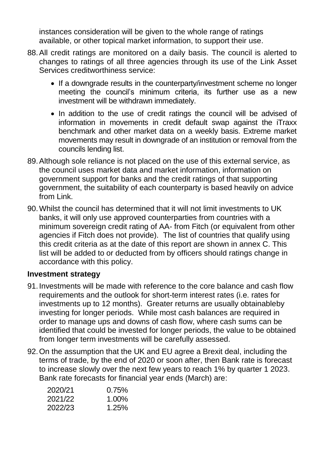instances consideration will be given to the whole range of ratings available, or other topical market information, to support their use.

- 88.All credit ratings are monitored on a daily basis. The council is alerted to changes to ratings of all three agencies through its use of the Link Asset Services creditworthiness service<sup>:</sup>
	- If a downgrade results in the counterparty/investment scheme no longer meeting the council's minimum criteria, its further use as a new investment will be withdrawn immediately.
	- In addition to the use of credit ratings the council will be advised of information in movements in credit default swap against the iTraxx benchmark and other market data on a weekly basis. Extreme market movements may result in downgrade of an institution or removal from the councils lending list.
- 89.Although sole reliance is not placed on the use of this external service, as the council uses market data and market information, information on government support for banks and the credit ratings of that supporting government, the suitability of each counterparty is based heavily on advice from Link.
- 90.Whilst the council has determined that it will not limit investments to UK banks, it will only use approved counterparties from countries with a minimum sovereign credit rating of AA- from Fitch (or equivalent from other agencies if Fitch does not provide). The list of countries that qualify using this credit criteria as at the date of this report are shown in annex C. This list will be added to or deducted from by officers should ratings change in accordance with this policy.

#### **Investment strategy**

- 91.Investments will be made with reference to the core balance and cash flow requirements and the outlook for short-term interest rates (i.e. rates for investments up to 12 months). Greater returns are usually obtainableby investing for longer periods. While most cash balances are required in order to manage ups and downs of cash flow, where cash sums can be identified that could be invested for longer periods, the value to be obtained from longer term investments will be carefully assessed.
- 92.On the assumption that the UK and EU agree a Brexit deal, including the terms of trade, by the end of 2020 or soon after, then Bank rate is forecast to increase slowly over the next few years to reach 1% by quarter 1 2023. Bank rate forecasts for financial year ends (March) are:

| 0.75%    |
|----------|
| $1.00\%$ |
| 1.25%    |
|          |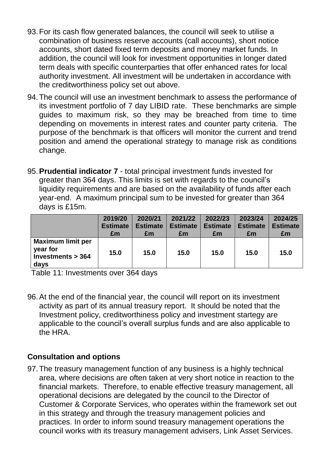- 93.For its cash flow generated balances, the council will seek to utilise a combination of business reserve accounts (call accounts), short notice accounts, short dated fixed term deposits and money market funds. In addition, the council will look for investment opportunities in longer dated term deals with specific counterparties that offer enhanced rates for local authority investment. All investment will be undertaken in accordance with the creditworthiness policy set out above.
- 94.The council will use an investment benchmark to assess the performance of its investment portfolio of 7 day LIBID rate. These benchmarks are simple guides to maximum risk, so they may be breached from time to time depending on movements in interest rates and counter party criteria. The purpose of the benchmark is that officers will monitor the current and trend position and amend the operational strategy to manage risk as conditions change.
- 95.**Prudential indicator 7** total principal investment funds invested for greater than 364 days. This limits is set with regards to the council's liquidity requirements and are based on the availability of funds after each year-end. A maximum principal sum to be invested for greater than 364 days is £15m.

|                                                                     | 2019/20         | 2020/21         | 2021/22         | 2022/23         | 2023/24         | 2024/25         |
|---------------------------------------------------------------------|-----------------|-----------------|-----------------|-----------------|-----------------|-----------------|
|                                                                     | <b>Estimate</b> | <b>Estimate</b> | <b>Estimate</b> | <b>Estimate</b> | <b>Estimate</b> | <b>Estimate</b> |
|                                                                     | £m              | £m              | £m              | £m              | £m              | £m              |
| <b>Maximum limit per</b><br>year for<br>Investments $>$ 364<br>days | 15.0            | 15.0            | 15.0            | 15.0            | 15.0            | 15.0            |

Table 11: Investments over 364 days

96.At the end of the financial year, the council will report on its investment activity as part of its annual treasury report. It should be noted that the Investment policy, creditworthiness policy and investment startegy are applicable to the council's overall surplus funds and are also applicable to the HRA.

## **Consultation and options**

97.The treasury management function of any business is a highly technical area, where decisions are often taken at very short notice in reaction to the financial markets. Therefore, to enable effective treasury management, all operational decisions are delegated by the council to the Director of Customer & Corporate Services, who operates within the framework set out in this strategy and through the treasury management policies and practices. In order to inform sound treasury management operations the council works with its treasury management advisers, Link Asset Services.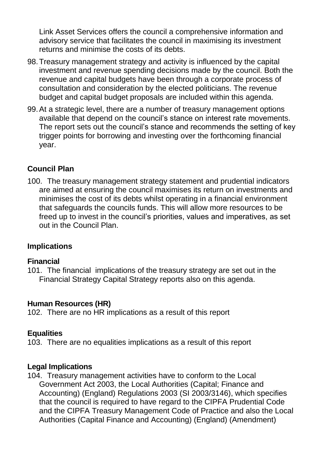Link Asset Services offers the council a comprehensive information and advisory service that facilitates the council in maximising its investment returns and minimise the costs of its debts.

- 98.Treasury management strategy and activity is influenced by the capital investment and revenue spending decisions made by the council. Both the revenue and capital budgets have been through a corporate process of consultation and consideration by the elected politicians. The revenue budget and capital budget proposals are included within this agenda.
- 99.At a strategic level, there are a number of treasury management options available that depend on the council's stance on interest rate movements. The report sets out the council's stance and recommends the setting of key trigger points for borrowing and investing over the forthcoming financial year.

## **Council Plan**

100. The treasury management strategy statement and prudential indicators are aimed at ensuring the council maximises its return on investments and minimises the cost of its debts whilst operating in a financial environment that safeguards the councils funds. This will allow more resources to be freed up to invest in the council's priorities, values and imperatives, as set out in the Council Plan.

## **Implications**

#### **Financial**

101. The financial implications of the treasury strategy are set out in the Financial Strategy Capital Strategy reports also on this agenda.

## **Human Resources (HR)**

102. There are no HR implications as a result of this report

## **Equalities**

103. There are no equalities implications as a result of this report

#### **Legal Implications**

104. Treasury management activities have to conform to the Local Government Act 2003, the Local Authorities (Capital; Finance and Accounting) (England) Regulations 2003 (SI 2003/3146), which specifies that the council is required to have regard to the CIPFA Prudential Code and the CIPFA Treasury Management Code of Practice and also the Local Authorities (Capital Finance and Accounting) (England) (Amendment)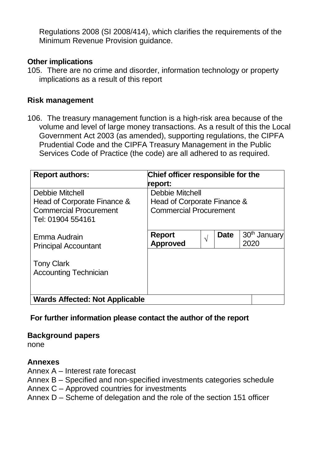Regulations 2008 (SI 2008/414), which clarifies the requirements of the Minimum Revenue Provision guidance.

#### **Other implications**

105. There are no crime and disorder, information technology or property implications as a result of this report

#### **Risk management**

106. The treasury management function is a high-risk area because of the volume and level of large money transactions. As a result of this the Local Government Act 2003 (as amended), supporting regulations, the CIPFA Prudential Code and the CIPFA Treasury Management in the Public Services Code of Practice (the code) are all adhered to as required.

| <b>Report authors:</b>                             | Chief officer responsible for the<br>report: |                           |                                  |  |
|----------------------------------------------------|----------------------------------------------|---------------------------|----------------------------------|--|
| <b>Debbie Mitchell</b>                             | <b>Debbie Mitchell</b>                       |                           |                                  |  |
| Head of Corporate Finance &                        | Head of Corporate Finance &                  |                           |                                  |  |
| <b>Commercial Procurement</b><br>Tel: 01904 554161 | <b>Commercial Procurement</b>                |                           |                                  |  |
| Emma Audrain<br><b>Principal Accountant</b>        | <b>Report</b><br><b>Approved</b>             | <b>Date</b><br>$\sqrt{2}$ | 30 <sup>th</sup> January<br>2020 |  |
| <b>Tony Clark</b><br><b>Accounting Technician</b>  |                                              |                           |                                  |  |
| <b>Wards Affected: Not Applicable</b>              |                                              |                           |                                  |  |

#### **For further information please contact the author of the report**

#### **Background papers**

none

#### **Annexes**

- Annex A Interest rate forecast
- Annex B Specified and non-specified investments categories schedule
- Annex C Approved countries for investments
- Annex D Scheme of delegation and the role of the section 151 officer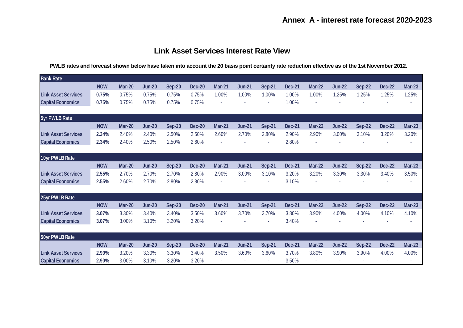#### **Annex A - interest rate forecast 2020-2023**

#### **Link Asset Services Interest Rate View**

**PWLB rates and forecast shown below have taken into account the 20 basis point certainty rate reduction effective as of the 1st November 2012.**

| <b>Bank Rate</b>           |            |               |               |               |               |               |               |               |               |               |               |               |               |               |
|----------------------------|------------|---------------|---------------|---------------|---------------|---------------|---------------|---------------|---------------|---------------|---------------|---------------|---------------|---------------|
|                            | <b>NOW</b> | <b>Mar-20</b> | <b>Jun-20</b> | <b>Sep-20</b> | <b>Dec-20</b> | <b>Mar-21</b> | <b>Jun-21</b> | <b>Sep-21</b> | <b>Dec-21</b> | <b>Mar-22</b> | <b>Jun-22</b> | <b>Sep-22</b> | <b>Dec-22</b> | <b>Mar-23</b> |
| <b>Link Asset Services</b> | 0.75%      | 0.75%         | 0.75%         | 0.75%         | 0.75%         | 1.00%         | 1.00%         | 1.00%         | 1.00%         | 1.00%         | 1.25%         | 1.25%         | 1.25%         | 1.25%         |
| <b>Capital Economics</b>   | 0.75%      | 0.75%         | 0.75%         | 0.75%         | 0.75%         |               |               |               | 1.00%         |               |               |               |               |               |
| 5yr PWLB Rate              |            |               |               |               |               |               |               |               |               |               |               |               |               |               |
|                            | <b>NOW</b> | Mar-20        | <b>Jun-20</b> | Sep-20        | <b>Dec-20</b> | <b>Mar-21</b> | <b>Jun-21</b> | Sep-21        | <b>Dec-21</b> | <b>Mar-22</b> | <b>Jun-22</b> | <b>Sep-22</b> | <b>Dec-22</b> | <b>Mar-23</b> |
| <b>Link Asset Services</b> | 2.34%      | 2.40%         | 2.40%         | 2.50%         | 2.50%         | 2.60%         | 2.70%         | 2.80%         | 2.90%         | 2.90%         | 3.00%         | 3.10%         | 3.20%         | 3.20%         |
| <b>Capital Economics</b>   | 2.34%      | 2.40%         | 2.50%         | 2.50%         | 2.60%         |               |               |               | 2.80%         |               |               |               |               | ٠             |
| 10yr PWLB Rate             |            |               |               |               |               |               |               |               |               |               |               |               |               |               |
|                            | <b>NOW</b> | Mar-20        | <b>Jun-20</b> | <b>Sep-20</b> | <b>Dec-20</b> | <b>Mar-21</b> | <b>Jun-21</b> | <b>Sep-21</b> | <b>Dec-21</b> | <b>Mar-22</b> | <b>Jun-22</b> | <b>Sep-22</b> | <b>Dec-22</b> | <b>Mar-23</b> |
| <b>Link Asset Services</b> | 2.55%      | 2.70%         | 2.70%         | 2.70%         | 2.80%         | 2.90%         | 3.00%         | 3.10%         | 3.20%         | 3.20%         | 3.30%         | 3.30%         | 3.40%         | 3.50%         |
| <b>Capital Economics</b>   | 2.55%      | 2.60%         | 2.70%         | 2.80%         | 2.80%         |               |               |               | 3.10%         |               |               |               |               | ٠             |
| 25yr PWLB Rate             |            |               |               |               |               |               |               |               |               |               |               |               |               |               |
|                            | <b>NOW</b> | <b>Mar-20</b> | <b>Jun-20</b> | <b>Sep-20</b> | <b>Dec-20</b> | <b>Mar-21</b> | <b>Jun-21</b> | <b>Sep-21</b> | <b>Dec-21</b> | <b>Mar-22</b> | <b>Jun-22</b> | <b>Sep-22</b> | <b>Dec-22</b> | <b>Mar-23</b> |
| <b>Link Asset Services</b> | 3.07%      | 3.30%         | 3.40%         | 3.40%         | 3.50%         | 3.60%         | 3.70%         | 3.70%         | 3.80%         | 3.90%         | 4.00%         | 4.00%         | 4.10%         | 4.10%         |
| <b>Capital Economics</b>   | 3.07%      | 3.00%         | 3.10%         | 3.20%         | 3.20%         |               |               |               | 3.40%         |               |               |               |               |               |
| 50yr PWLB Rate             |            |               |               |               |               |               |               |               |               |               |               |               |               |               |
|                            | <b>NOW</b> | Mar-20        | <b>Jun-20</b> | <b>Sep-20</b> | <b>Dec-20</b> | <b>Mar-21</b> | <b>Jun-21</b> | <b>Sep-21</b> | <b>Dec-21</b> | <b>Mar-22</b> | <b>Jun-22</b> | <b>Sep-22</b> | <b>Dec-22</b> | <b>Mar-23</b> |
| <b>Link Asset Services</b> | 2.90%      | 3.20%         | 3.30%         | 3.30%         | 3.40%         | 3.50%         | 3.60%         | 3.60%         | 3.70%         | 3.80%         | 3.90%         | 3.90%         | 4.00%         | 4.00%         |
| <b>Capital Economics</b>   | 2.90%      | 3.00%         | 3.10%         | 3.20%         | 3.20%         |               |               |               | 3.50%         |               |               |               |               | ٠             |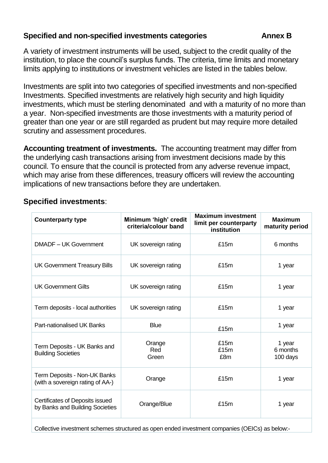## **Specified and non-specified investments categories Annex B**

A variety of investment instruments will be used, subject to the credit quality of the institution, to place the council's surplus funds. The criteria, time limits and monetary limits applying to institutions or investment vehicles are listed in the tables below.

Investments are split into two categories of specified investments and non-specified Investments. Specified investments are relatively high security and high liquidity investments, which must be sterling denominated and with a maturity of no more than a year. Non-specified investments are those investments with a maturity period of greater than one year or are still regarded as prudent but may require more detailed scrutiny and assessment procedures.

**Accounting treatment of investments.** The accounting treatment may differ from the underlying cash transactions arising from investment decisions made by this council. To ensure that the council is protected from any adverse revenue impact, which may arise from these differences, treasury officers will review the accounting implications of new transactions before they are undertaken.

| <b>Counterparty type</b>                                           | Minimum 'high' credit<br>criteria/colour band | <b>Maximum investment</b><br>limit per counterparty<br>institution | <b>Maximum</b><br>maturity period |
|--------------------------------------------------------------------|-----------------------------------------------|--------------------------------------------------------------------|-----------------------------------|
| DMADF - UK Government                                              | UK sovereign rating                           | £15m                                                               | 6 months                          |
| <b>UK Government Treasury Bills</b>                                | UK sovereign rating                           | £15m                                                               | 1 year                            |
| <b>UK Government Gilts</b>                                         | UK sovereign rating                           | £15m                                                               | 1 year                            |
| Term deposits - local authorities                                  | UK sovereign rating                           | £15m                                                               | 1 year                            |
| Part-nationalised UK Banks                                         | <b>Blue</b>                                   | £15m                                                               | 1 year                            |
| Term Deposits - UK Banks and<br><b>Building Societies</b>          | Orange<br>Red<br>Green                        | £15m<br>£15m<br>£8m                                                | 1 year<br>6 months<br>100 days    |
| Term Deposits - Non-UK Banks<br>(with a sovereign rating of AA-)   | Orange                                        | £15m                                                               | 1 year                            |
| Certificates of Deposits issued<br>by Banks and Building Societies | Orange/Blue                                   | £15m                                                               | 1 year                            |

Collective investment schemes structured as open ended investment companies (OEICs) as below:-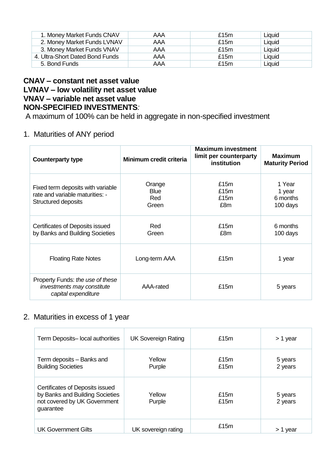| 1. Money Market Funds CNAV      | AAA | £15 $m$ | Liquid |
|---------------------------------|-----|---------|--------|
| 2. Money Market Funds LVNAV     | AAA | £15 $m$ | Liquid |
| 3. Money Market Funds VNAV      | AAA | £15 $m$ | Liquid |
| 4. Ultra-Short Dated Bond Funds | AAA | £15 $m$ | Liquid |
| 5. Bond Funds                   | AAA | £15 $m$ | Liquid |

#### **CNAV – constant net asset value LVNAV – low volatility net asset value VNAV – variable net asset value NON-SPECIFIED INVESTMENTS***:*

A maximum of 100% can be held in aggregate in non-specified investment

#### 1. Maturities of ANY period

| <b>Counterparty type</b>                                                                           | Minimum credit criteria               | <b>Maximum investment</b><br>limit per counterparty<br>institution | <b>Maximum</b><br><b>Maturity Period</b> |
|----------------------------------------------------------------------------------------------------|---------------------------------------|--------------------------------------------------------------------|------------------------------------------|
| Fixed term deposits with variable<br>rate and variable maturities: -<br><b>Structured deposits</b> | Orange<br><b>Blue</b><br>Red<br>Green | £15m<br>£15m<br>£15m<br>£8m                                        | 1 Year<br>1 year<br>6 months<br>100 days |
| Certificates of Deposits issued<br>by Banks and Building Societies                                 | Red<br>Green                          | £15m<br>£8m                                                        | 6 months<br>100 days                     |
| <b>Floating Rate Notes</b>                                                                         | Long-term AAA                         | £15m                                                               | 1 year                                   |
| Property Funds: the use of these<br>investments may constitute<br>capital expenditure              | AAA-rated                             | £15m                                                               | 5 years                                  |

#### 2. Maturities in excess of 1 year

| Term Deposits-local authorities                                                                                 | <b>UK Sovereign Rating</b> | £15m         | > 1 year           |
|-----------------------------------------------------------------------------------------------------------------|----------------------------|--------------|--------------------|
| Term deposits - Banks and<br><b>Building Societies</b>                                                          | Yellow<br>Purple           | £15m<br>£15m | 5 years<br>2 years |
| Certificates of Deposits issued<br>by Banks and Building Societies<br>not covered by UK Government<br>guarantee | Yellow<br>Purple           | £15m<br>£15m | 5 years<br>2 years |
| <b>UK Government Gilts</b>                                                                                      | UK sovereign rating        | £15m         | > 1 year           |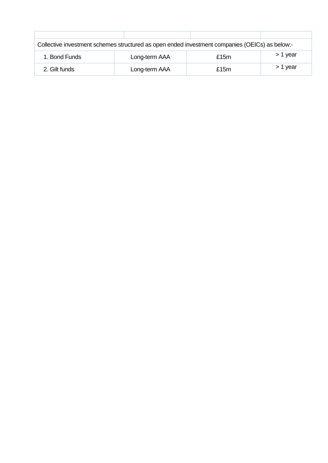| Collective investment schemes structured as open ended investment companies (OEICs) as below:- |               |         |          |  |  |  |
|------------------------------------------------------------------------------------------------|---------------|---------|----------|--|--|--|
| 1. Bond Funds                                                                                  | Long-term AAA | £15 $m$ | > 1 year |  |  |  |
| 2. Gilt funds                                                                                  | Long-term AAA | £15 $m$ | > 1 year |  |  |  |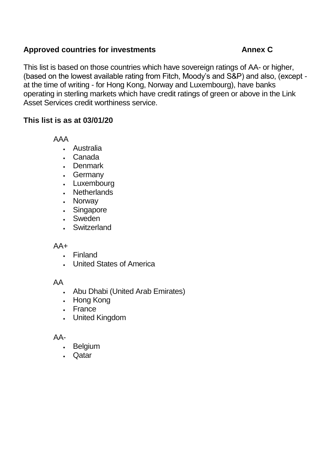## **Approved countries for investments Annex C**

This list is based on those countries which have sovereign ratings of AA- or higher, (based on the lowest available rating from Fitch, Moody's and S&P) and also, (except at the time of writing - for Hong Kong, Norway and Luxembourg), have banks operating in sterling markets which have credit ratings of green or above in the Link Asset Services credit worthiness service.

## **This list is as at 03/01/20**

AAA

- Australia
- Canada
- Denmark
- Germany
- Luxembourg
- Netherlands
- Norway
- Singapore
- Sweden
- Switzerland

#### $AA+$

- Finland
- United States of America

#### AA

- Abu Dhabi (United Arab Emirates)
- Hong Kong
- France
- United Kingdom

#### AA-

- Belgium
- Qatar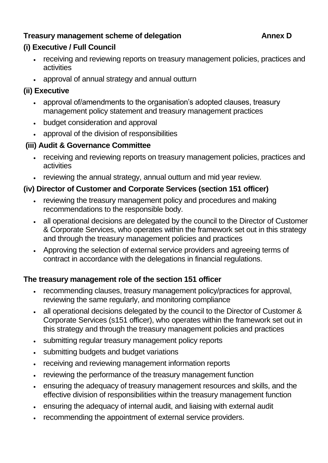# **Treasury management scheme of delegation Annex D**

## **(i) Executive / Full Council**

- receiving and reviewing reports on treasury management policies, practices and activities
- approval of annual strategy and annual outturn

## **(ii) Executive**

- approval of/amendments to the organisation's adopted clauses, treasury management policy statement and treasury management practices
- budget consideration and approval
- approval of the division of responsibilities

## **(iii) Audit & Governance Committee**

- receiving and reviewing reports on treasury management policies, practices and activities
- reviewing the annual strategy, annual outturn and mid year review.

## **(iv) Director of Customer and Corporate Services (section 151 officer)**

- reviewing the treasury management policy and procedures and making recommendations to the responsible body.
- all operational decisions are delegated by the council to the Director of Customer & Corporate Services, who operates within the framework set out in this strategy and through the treasury management policies and practices
- Approving the selection of external service providers and agreeing terms of contract in accordance with the delegations in financial regulations.

## **The treasury management role of the section 151 officer**

- recommending clauses, treasury management policy/practices for approval, reviewing the same regularly, and monitoring compliance
- all operational decisions delegated by the council to the Director of Customer & Corporate Services (s151 officer), who operates within the framework set out in this strategy and through the treasury management policies and practices
- submitting regular treasury management policy reports
- submitting budgets and budget variations
- receiving and reviewing management information reports
- reviewing the performance of the treasury management function
- ensuring the adequacy of treasury management resources and skills, and the effective division of responsibilities within the treasury management function
- ensuring the adequacy of internal audit, and liaising with external audit
- recommending the appointment of external service providers.